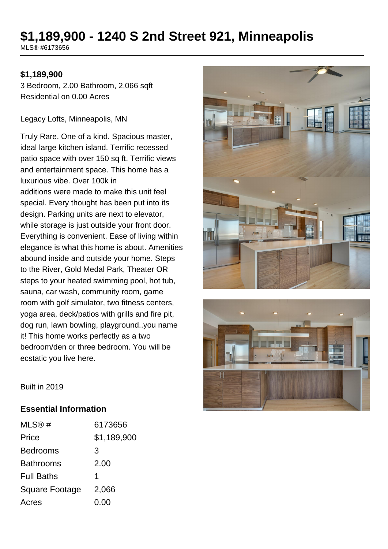# **\$1,189,900 - 1240 S 2nd Street 921, Minneapolis**

MLS® #6173656

#### **\$1,189,900**

3 Bedroom, 2.00 Bathroom, 2,066 sqft Residential on 0.00 Acres

Legacy Lofts, Minneapolis, MN

Truly Rare, One of a kind. Spacious master, ideal large kitchen island. Terrific recessed patio space with over 150 sq ft. Terrific views and entertainment space. This home has a luxurious vibe. Over 100k in additions were made to make this unit feel special. Every thought has been put into its design. Parking units are next to elevator, while storage is just outside your front door. Everything is convenient. Ease of living within elegance is what this home is about. Amenities abound inside and outside your home. Steps to the River, Gold Medal Park, Theater OR steps to your heated swimming pool, hot tub, sauna, car wash, community room, game room with golf simulator, two fitness centers, yoga area, deck/patios with grills and fire pit, dog run, lawn bowling, playground..you name it! This home works perfectly as a two bedroom/den or three bedroom. You will be ecstatic you live here.





Built in 2019

#### **Essential Information**

| MLS@#                 | 6173656     |
|-----------------------|-------------|
| Price                 | \$1,189,900 |
| <b>Bedrooms</b>       | 3           |
| <b>Bathrooms</b>      | 2.00        |
| <b>Full Baths</b>     | 1           |
| <b>Square Footage</b> | 2,066       |
| Acres                 | 0.00        |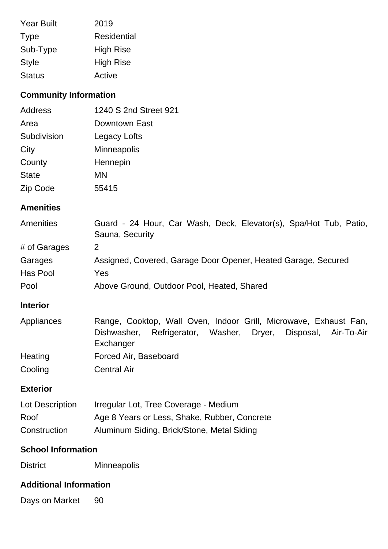| <b>Year Built</b> | 2019               |
|-------------------|--------------------|
| <b>Type</b>       | <b>Residential</b> |
| Sub-Type          | <b>High Rise</b>   |
| <b>Style</b>      | <b>High Rise</b>   |
| <b>Status</b>     | Active             |

# **Community Information**

| Address      | 1240 S 2nd Street 921 |
|--------------|-----------------------|
| Area         | Downtown East         |
| Subdivision  | Legacy Lofts          |
| City         | <b>Minneapolis</b>    |
| County       | Hennepin              |
| <b>State</b> | ΜN                    |
| Zip Code     | 55415                 |

### **Amenities**

| Amenities    | Guard - 24 Hour, Car Wash, Deck, Elevator(s), Spa/Hot Tub, Patio, |
|--------------|-------------------------------------------------------------------|
|              | Sauna, Security                                                   |
| # of Garages |                                                                   |
| Garages      | Assigned, Covered, Garage Door Opener, Heated Garage, Secured     |
| Has Pool     | Yes                                                               |
| Pool         | Above Ground, Outdoor Pool, Heated, Shared                        |

# **Interior**

| Appliances | Range, Cooktop, Wall Oven, Indoor Grill, Microwave, Exhaust Fan, |  |                                     |  |
|------------|------------------------------------------------------------------|--|-------------------------------------|--|
|            | Dishwasher, Refrigerator,                                        |  | Washer, Dryer, Disposal, Air-To-Air |  |
|            | Exchanger                                                        |  |                                     |  |
| Heating    | Forced Air, Baseboard                                            |  |                                     |  |
| Cooling    | <b>Central Air</b>                                               |  |                                     |  |

### **Exterior**

| Lot Description | Irregular Lot, Tree Coverage - Medium        |
|-----------------|----------------------------------------------|
| Roof            | Age 8 Years or Less, Shake, Rubber, Concrete |
| Construction    | Aluminum Siding, Brick/Stone, Metal Siding   |

#### **School Information**

District Minneapolis

# **Additional Information**

Days on Market 90